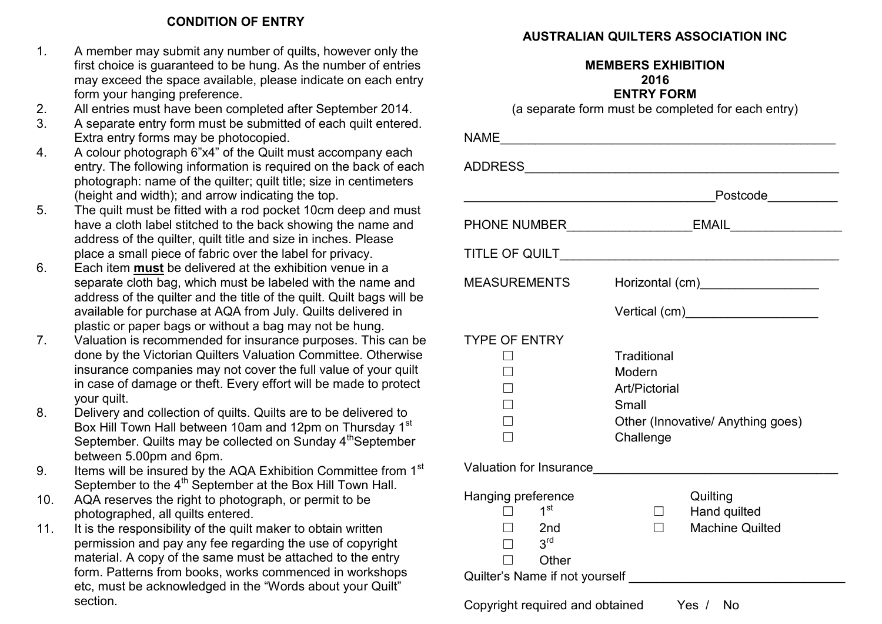### **CONDITION OF ENTRY**

- 1. A member may submit any number of quilts, however only the first choice is guaranteed to be hung. As the number of entries may exceed the space available, please indicate on each entry form your hanging preference.
- 2. All entries must have been completed after September 2014.
- 3. A separate entry form must be submitted of each quilt entered. Extra entry forms may be photocopied.
- 4. A colour photograph 6"x4" of the Quilt must accompany each entry. The following information is required on the back of each photograph: name of the quilter; quilt title; size in centimeters (height and width); and arrow indicating the top.
- 5. The quilt must be fitted with a rod pocket 10cm deep and must have a cloth label stitched to the back showing the name and address of the quilter, quilt title and size in inches. Please place a small piece of fabric over the label for privacy.
- 6. Each item **must** be delivered at the exhibition venue in a separate cloth bag, which must be labeled with the name and address of the quilter and the title of the quilt. Quilt bags will be available for purchase at AQA from July. Quilts delivered in plastic or paper bags or without a bag may not be hung.
- 7. Valuation is recommended for insurance purposes. This can be done by the Victorian Quilters Valuation Committee. Otherwise insurance companies may not cover the full value of your quilt in case of damage or theft. Every effort will be made to protect your quilt.
- 8. Delivery and collection of quilts. Quilts are to be delivered to Box Hill Town Hall between 10am and 12pm on Thursday 1<sup>st</sup> September. Quilts may be collected on Sunday 4<sup>th</sup>September between 5.00pm and 6pm.
- 9. Items will be insured by the AQA Exhibition Committee from 1<sup>st</sup> September to the 4<sup>th</sup> September at the Box Hill Town Hall.
- 10. AQA reserves the right to photograph, or permit to be photographed, all quilts entered.
- 11. It is the responsibility of the quilt maker to obtain written permission and pay any fee regarding the use of copyright material. A copy of the same must be attached to the entry form. Patterns from books, works commenced in workshops etc, must be acknowledged in the "Words about your Quilt" section.

## **AUSTRALIAN QUILTERS ASSOCIATION INC**

#### **MEMBERS EXHIBITION 2016 ENTRY FORM**

(a separate form must be completed for each entry)

| NAME ___________________________________                                             |                                                                                                          |
|--------------------------------------------------------------------------------------|----------------------------------------------------------------------------------------------------------|
|                                                                                      |                                                                                                          |
|                                                                                      | Postcode___________                                                                                      |
|                                                                                      | PHONE NUMBER_______________________EMAIL____________________                                             |
|                                                                                      |                                                                                                          |
| <b>MEASUREMENTS</b>                                                                  | Horizontal (cm)____________________                                                                      |
|                                                                                      |                                                                                                          |
| <b>TYPE OF ENTRY</b>                                                                 | Traditional<br>Modern<br><b>Art/Pictorial</b><br>Small<br>Other (Innovative/ Anything goes)<br>Challenge |
|                                                                                      | Valuation for Insurance                                                                                  |
| Hanging preference<br>1 <sup>st</sup><br>2 <sub>nd</sub><br>3 <sup>rd</sup><br>Other | Quilting<br>Hand quilted<br>$\Box$<br><b>Machine Quilted</b>                                             |

Copyright required and obtained Yes / No